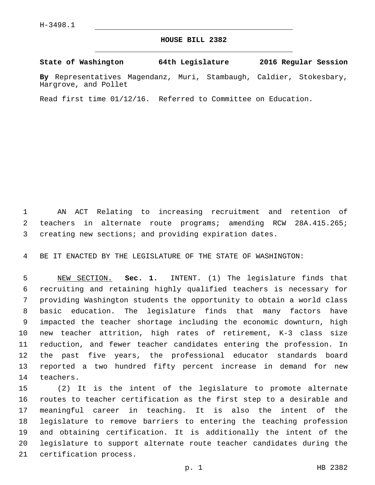## **HOUSE BILL 2382**

**State of Washington 64th Legislature 2016 Regular Session**

**By** Representatives Magendanz, Muri, Stambaugh, Caldier, Stokesbary, Hargrove, and Pollet

Read first time 01/12/16. Referred to Committee on Education.

 AN ACT Relating to increasing recruitment and retention of teachers in alternate route programs; amending RCW 28A.415.265; creating new sections; and providing expiration dates.

BE IT ENACTED BY THE LEGISLATURE OF THE STATE OF WASHINGTON:

 NEW SECTION. **Sec. 1.** INTENT. (1) The legislature finds that recruiting and retaining highly qualified teachers is necessary for providing Washington students the opportunity to obtain a world class basic education. The legislature finds that many factors have impacted the teacher shortage including the economic downturn, high new teacher attrition, high rates of retirement, K-3 class size reduction, and fewer teacher candidates entering the profession. In the past five years, the professional educator standards board reported a two hundred fifty percent increase in demand for new teachers.

 (2) It is the intent of the legislature to promote alternate routes to teacher certification as the first step to a desirable and meaningful career in teaching. It is also the intent of the legislature to remove barriers to entering the teaching profession and obtaining certification. It is additionally the intent of the legislature to support alternate route teacher candidates during the 21 certification process.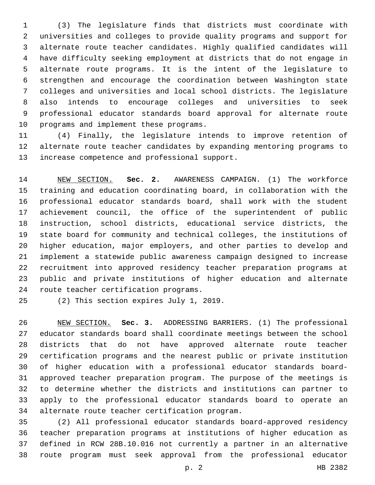(3) The legislature finds that districts must coordinate with universities and colleges to provide quality programs and support for alternate route teacher candidates. Highly qualified candidates will have difficulty seeking employment at districts that do not engage in alternate route programs. It is the intent of the legislature to strengthen and encourage the coordination between Washington state colleges and universities and local school districts. The legislature also intends to encourage colleges and universities to seek professional educator standards board approval for alternate route 10 programs and implement these programs.

 (4) Finally, the legislature intends to improve retention of alternate route teacher candidates by expanding mentoring programs to 13 increase competence and professional support.

 NEW SECTION. **Sec. 2.** AWARENESS CAMPAIGN. (1) The workforce training and education coordinating board, in collaboration with the professional educator standards board, shall work with the student achievement council, the office of the superintendent of public instruction, school districts, educational service districts, the state board for community and technical colleges, the institutions of higher education, major employers, and other parties to develop and implement a statewide public awareness campaign designed to increase recruitment into approved residency teacher preparation programs at public and private institutions of higher education and alternate route teacher certification programs.

25 (2) This section expires July 1, 2019.

 NEW SECTION. **Sec. 3.** ADDRESSING BARRIERS. (1) The professional educator standards board shall coordinate meetings between the school districts that do not have approved alternate route teacher certification programs and the nearest public or private institution of higher education with a professional educator standards board- approved teacher preparation program. The purpose of the meetings is to determine whether the districts and institutions can partner to apply to the professional educator standards board to operate an alternate route teacher certification program.

 (2) All professional educator standards board-approved residency teacher preparation programs at institutions of higher education as defined in RCW 28B.10.016 not currently a partner in an alternative route program must seek approval from the professional educator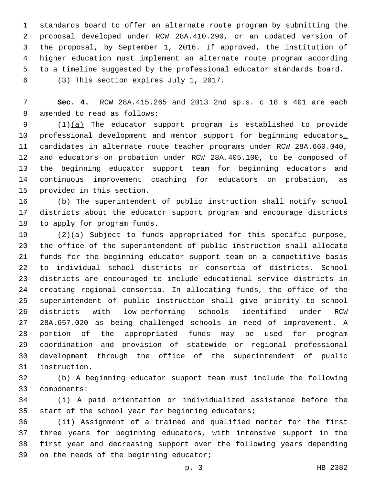standards board to offer an alternate route program by submitting the proposal developed under RCW 28A.410.290, or an updated version of the proposal, by September 1, 2016. If approved, the institution of higher education must implement an alternate route program according to a timeline suggested by the professional educator standards board. (3) This section expires July 1, 2017.6

 **Sec. 4.** RCW 28A.415.265 and 2013 2nd sp.s. c 18 s 401 are each 8 amended to read as follows:

 (1)(a) The educator support program is established to provide 10 professional development and mentor support for beginning educators, candidates in alternate route teacher programs under RCW 28A.660.040, and educators on probation under RCW 28A.405.100, to be composed of the beginning educator support team for beginning educators and continuous improvement coaching for educators on probation, as 15 provided in this section.

 (b) The superintendent of public instruction shall notify school districts about the educator support program and encourage districts to apply for program funds.

 (2)(a) Subject to funds appropriated for this specific purpose, the office of the superintendent of public instruction shall allocate funds for the beginning educator support team on a competitive basis to individual school districts or consortia of districts. School districts are encouraged to include educational service districts in creating regional consortia. In allocating funds, the office of the superintendent of public instruction shall give priority to school districts with low-performing schools identified under RCW 28A.657.020 as being challenged schools in need of improvement. A portion of the appropriated funds may be used for program coordination and provision of statewide or regional professional development through the office of the superintendent of public instruction.31

 (b) A beginning educator support team must include the following 33 components:

 (i) A paid orientation or individualized assistance before the 35 start of the school year for beginning educators;

 (ii) Assignment of a trained and qualified mentor for the first three years for beginning educators, with intensive support in the first year and decreasing support over the following years depending 39 on the needs of the beginning educator;